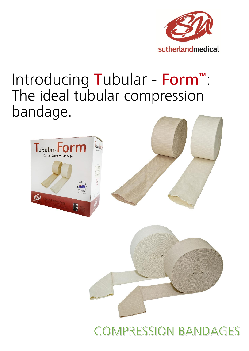

# Introducing Tubular - Form<sup>™</sup>: The ideal tubular compression bandage.





## **COMPRESSION BANDAGES**